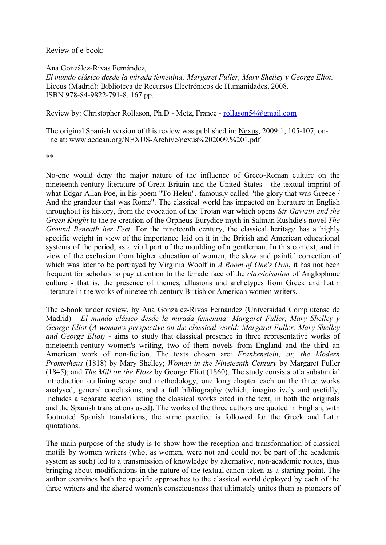Review of e-book:

Ana González-Rivas Fernández,

*El mundo clásico desde la mirada femenina: Margaret Fuller, Mary Shelley y George Eliot*. Liceus (Madrid): Biblioteca de Recursos Electrónicos de Humanidades, 2008. ISBN 978-84-9822-791-8, 167 pp.

Review by: Christopher Rollason, Ph.D - Metz, France - rollason54@gmail.com

The original Spanish version of this review was published in: Nexus, 2009:1, 105-107; online at: www.aedean.org/NEXUS-Archive/nexus%202009.%201.pdf

\*\*

No-one would deny the major nature of the influence of Greco-Roman culture on the nineteenth-century literature of Great Britain and the United States - the textual imprint of what Edgar Allan Poe, in his poem "To Helen", famously called "the glory that was Greece / And the grandeur that was Rome". The classical world has impacted on literature in English throughout its history, from the evocation of the Trojan war which opens *Sir Gawain and the Green Knight* to the re-creation of the Orpheus-Eurydice myth in Salman Rushdie's novel *The Ground Beneath her Feet*. For the nineteenth century, the classical heritage has a highly specific weight in view of the importance laid on it in the British and American educational systems of the period, as a vital part of the moulding of a gentleman. In this context, and in view of the exclusion from higher education of women, the slow and painful correction of which was later to be portrayed by Virginia Woolf in *A Room of One's Own*, it has not been frequent for scholars to pay attention to the female face of the *classicisation* of Anglophone culture - that is, the presence of themes, allusions and archetypes from Greek and Latin literature in the works of nineteenth-century British or American women writers.

The e-book under review, by Ana González-Rivas Fernández (Universidad Complutense de Madrid) - *El mundo clásico desde la mirada femenina: Margaret Fuller, Mary Shelley y George Eliot* (*A woman's perspective on the classical world: Margaret Fuller, Mary Shelley and George Eliot)* - aims to study that classical presence in three representative works of nineteenth-century women's writing, two of them novels from England and the third an American work of non-fiction. The texts chosen are: *Frankenstein; or, the Modern Prometheus* (1818) by Mary Shelley; *Woman in the Nineteenth Century* by Margaret Fuller (1845); and *The Mill on the Floss* by George Eliot (1860). The study consists of a substantial introduction outlining scope and methodology, one long chapter each on the three works analysed, general conclusions, and a full bibliography (which, imaginatively and usefully, includes a separate section listing the classical works cited in the text, in both the originals and the Spanish translations used). The works of the three authors are quoted in English, with footnoted Spanish translations; the same practice is followed for the Greek and Latin quotations.

The main purpose of the study is to show how the reception and transformation of classical motifs by women writers (who, as women, were not and could not be part of the academic system as such) led to a transmission of knowledge by alternative, non-academic routes, thus bringing about modifications in the nature of the textual canon taken as a starting-point. The author examines both the specific approaches to the classical world deployed by each of the three writers and the shared women's consciousness that ultimately unites them as pioneers of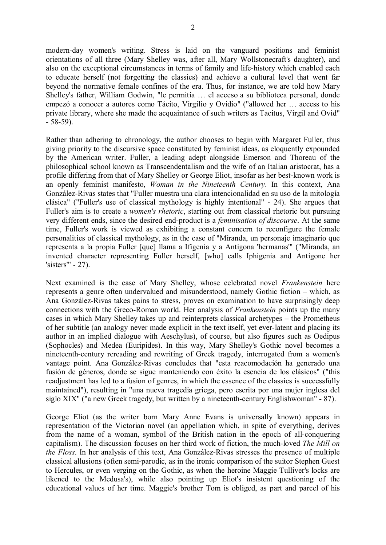modern-day women's writing. Stress is laid on the vanguard positions and feminist orientations of all three (Mary Shelley was, after all, Mary Wollstonecraft's daughter), and also on the exceptional circumstances in terms of family and life-history which enabled each to educate herself (not forgetting the classics) and achieve a cultural level that went far beyond the normative female confines of the era. Thus, for instance, we are told how Mary Shelley's father, William Godwin, "le permitía … el acceso a su biblioteca personal, donde empezó a conocer a autores como Tácito, Virgilio y Ovidio" ("allowed her … access to his private library, where she made the acquaintance of such writers as Tacitus, Virgil and Ovid" - 58-59).

Rather than adhering to chronology, the author chooses to begin with Margaret Fuller, thus giving priority to the discursive space constituted by feminist ideas, as eloquently expounded by the American writer. Fuller, a leading adept alongside Emerson and Thoreau of the philosophical school known as Transcendentalism and the wife of an Italian aristocrat, has a profile differing from that of Mary Shelley or George Eliot, insofar as her best-known work is an openly feminist manifesto, *Woman in the Nineteenth Century*. In this context, Ana González-Rivas states that "Fuller muestra una clara intencionalidad en su uso de la mitología clásica" ("Fuller's use of classical mythology is highly intentional" - 24). She argues that Fuller's aim is to create a *women's rhetoric*, starting out from classical rhetoric but pursuing very different ends, since the desired end-product is a *feminisation of discourse*. At the same time, Fuller's work is viewed as exhibiting a constant concern to reconfigure the female personalities of classical mythology, as in the case of "Miranda, un personaje imaginario que representa a la propia Fuller [que] llama a Ifigenia y a Antigona 'hermanas'" ("Miranda, an invented character representing Fuller herself, [who] calls Iphigenia and Antigone her 'sisters'" - 27).

Next examined is the case of Mary Shelley, whose celebrated novel *Frankenstein* here represents a genre often undervalued and misunderstood, namely Gothic fiction – which, as Ana González-Rivas takes pains to stress, proves on examination to have surprisingly deep connections with the Greco-Roman world. Her analysis of *Frankenstein* points up the many cases in which Mary Shelley takes up and reinterprets classical archetypes – the Prometheus of her subtitle (an analogy never made explicit in the text itself, yet ever-latent and placing its author in an implied dialogue with Aeschylus), of course, but also figures such as Oedipus (Sophocles) and Medea (Euripides). In this way, Mary Shelley's Gothic novel becomes a nineteenth-century rereading and rewriting of Greek tragedy, interrogated from a women's vantage point. Ana González-Rivas concludes that "esta reacomodación ha generado una fusión de géneros, donde se sigue manteniendo con éxito la esencia de los clásicos" ("this readjustment has led to a fusion of genres, in which the essence of the classics is successfully maintained"), resulting in "una nueva tragedia griega, pero escrita por una mujer inglesa del siglo XIX" ("a new Greek tragedy, but written by a nineteenth-century Englishwoman" - 87).

George Eliot (as the writer born Mary Anne Evans is universally known) appears in representation of the Victorian novel (an appellation which, in spite of everything, derives from the name of a woman, symbol of the British nation in the epoch of all-conquering capitalism). The discussion focuses on her third work of fiction, the much-loved *The Mill on the Floss*. In her analysis of this text, Ana González-Rivas stresses the presence of multiple classical allusions (often semi-parodic, as in the ironic comparison of the suitor Stephen Guest to Hercules, or even verging on the Gothic, as when the heroine Maggie Tulliver's locks are likened to the Medusa's), while also pointing up Eliot's insistent questioning of the educational values of her time. Maggie's brother Tom is obliged, as part and parcel of his